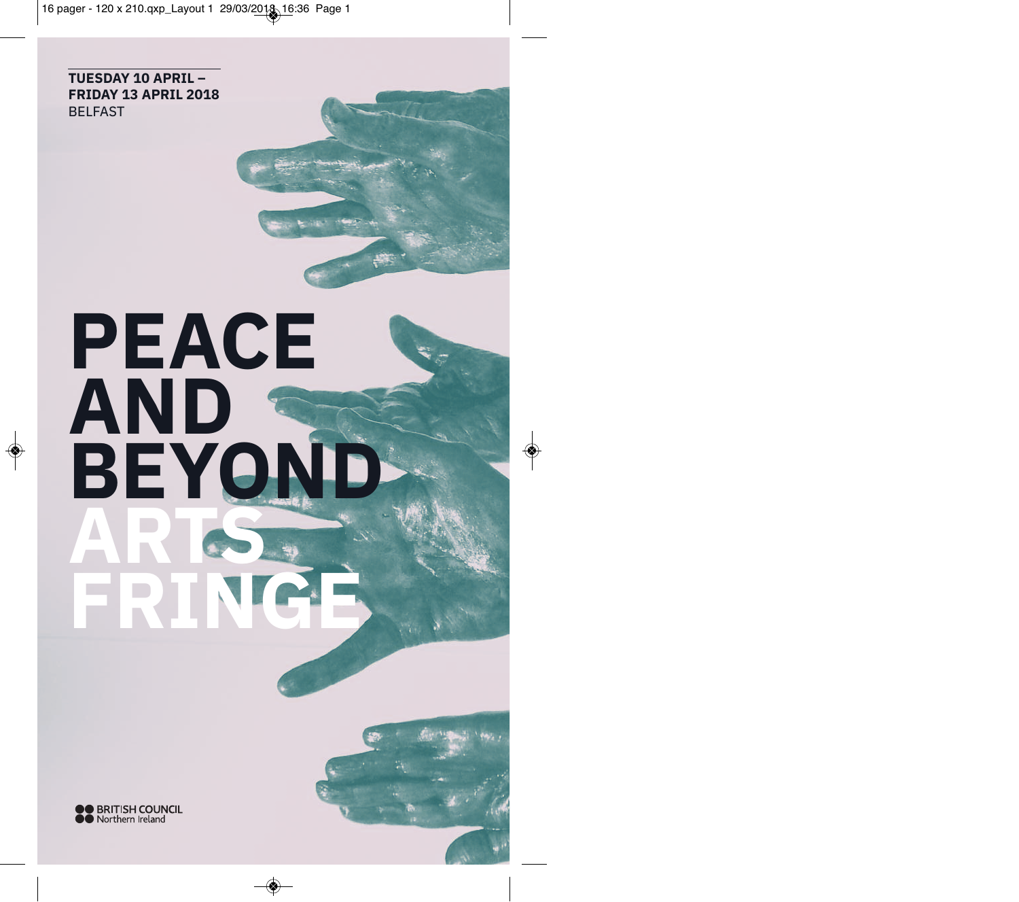**TUESDAY 10 APRIL – FRIDAY 13 APRIL 2018** BELFAST

# **PEACE AND BEYON ARTS FRINGE**

◈

**OO BRITISH COUNCIL**<br> **OO** Northern Ireland

 $\Rightarrow$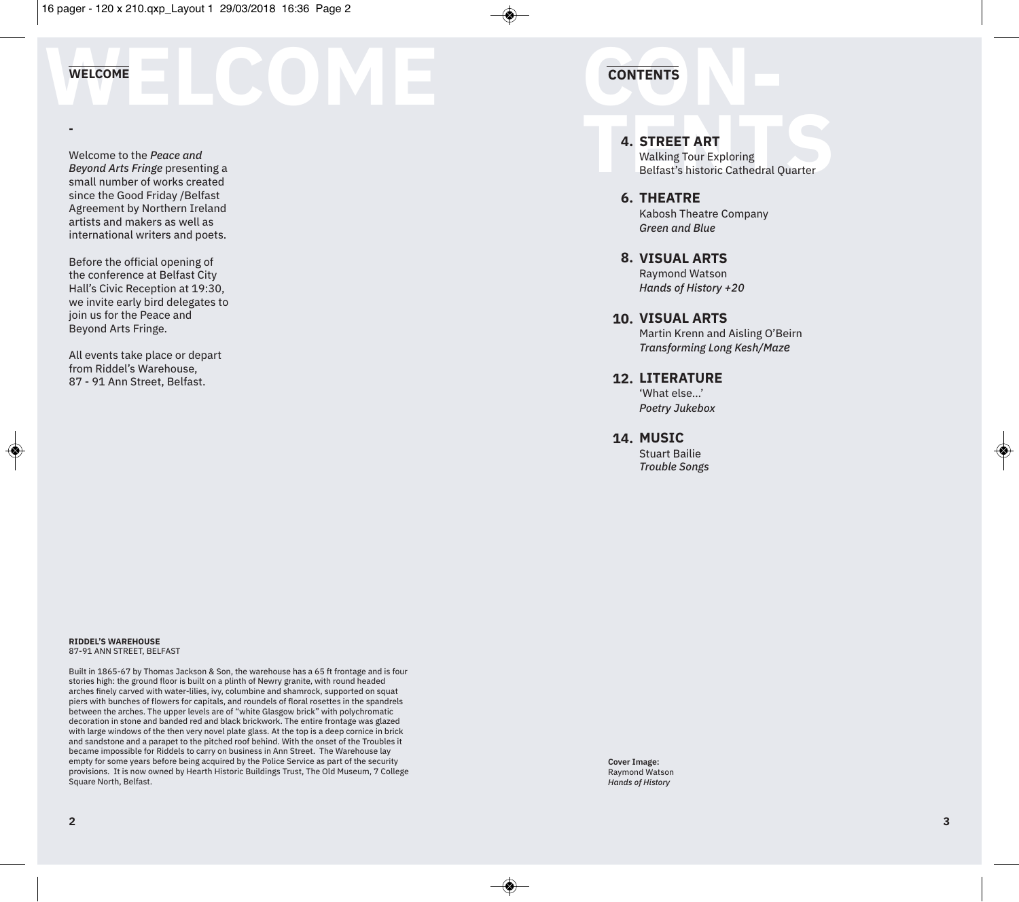#### **WELCOME**

**-**

◈

Welcome to the *Peace and Beyond Arts Fringe* presenting a small number of works created since the Good Friday /Belfast Agreement by Northern Ireland artists and makers as well as international writers and poets.

Before the official opening of the conference at Belfast City Hall's Civic Reception at 19:30, we invite early bird delegates to join us for the Peace and Beyond Arts Fringe.

All events take place or depart from Riddel's Warehouse, 87 - 91 Ann Street, Belfast.

## **CONTENTS WELCOME CONTENTS**

#### **STREET ART 4.**

**4. STREET ART**<br>Walking Tour Exploring<br>Belfast's historic Cathedral Quarter Walking Tour Exploring Belfast's historic Cathedral Quarter

#### **THEATRE 6.**

Kabosh Theatre Company *Green and Blue*

**VISUAL ARTS 8.** Raymond Watson

*Hands of History +20*

#### **VISUAL ARTS 10.**

Martin Krenn and Aisling O'Beirn *Transforming Long Kesh/Maze*

#### **LITERATURE 12.**

'What else…' *Poetry Jukebox*

**MUSIC 14.**

Stuart Bailie *Trouble Songs*

#### **RIDDEL'S WAREHOUSE** 87-91 ANN STREET, BELFAST

Built in 1865-67 by Thomas Jackson & Son, the warehouse has a 65 ft frontage and is four stories high: the ground floor is built on a plinth of Newry granite, with round headed arches finely carved with water-lilies, ivy, columbine and shamrock, supported on squat piers with bunches of flowers for capitals, and roundels of floral rosettes in the spandrels between the arches. The upper levels are of "white Glasgow brick" with polychromatic decoration in stone and banded red and black brickwork. The entire frontage was glazed with large windows of the then very novel plate glass. At the top is a deep cornice in brick and sandstone and a parapet to the pitched roof behind. With the onset of the Troubles it became impossible for Riddels to carry on business in Ann Street. The Warehouse lay empty for some years before being acquired by the Police Service as part of the security provisions. It is now owned by Hearth Historic Buildings Trust, The Old Museum, 7 College Square North, Belfast.

**Cover Image:** Raymond Watson *Hands of History*

◈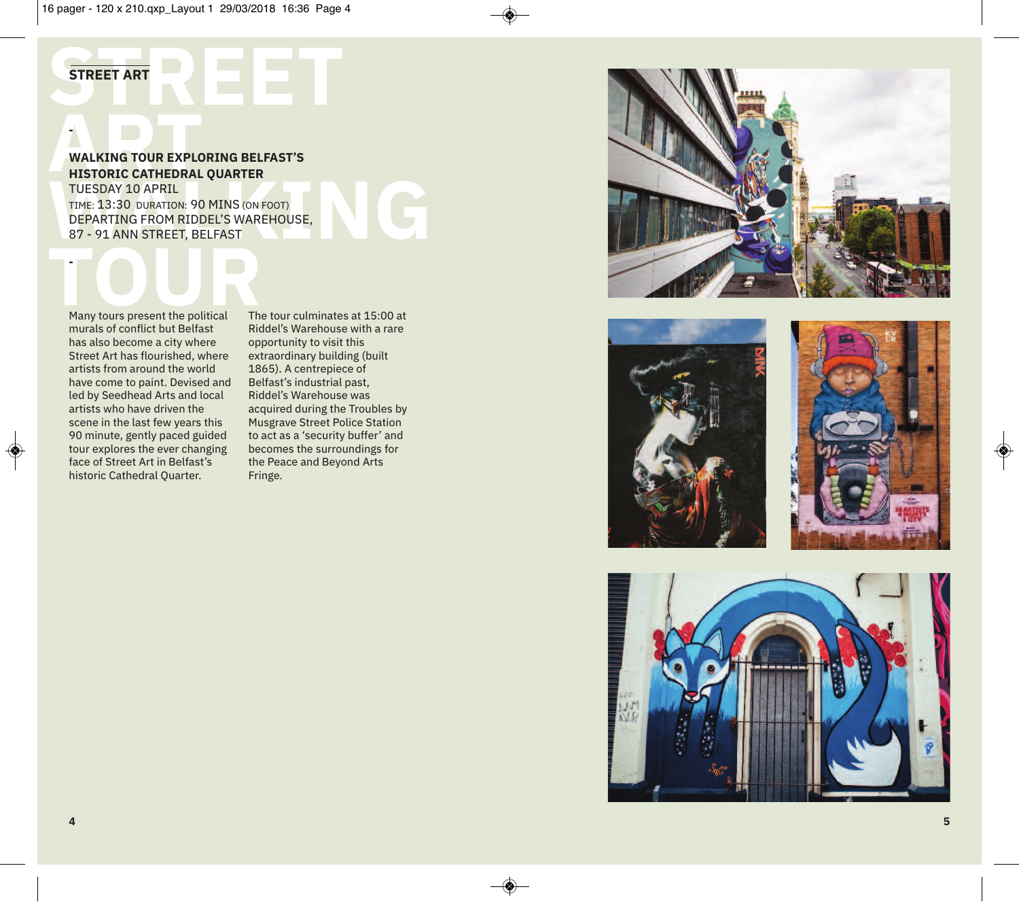**E**

**E**

**T**

**N**

**G**

### **A**<br> **RALKING TOUR EXPLO<br>
HISTORIC CATHEDRAL<br>
TUESDAY 10 APPTL** 7<br>WALKING TOUR EXPLORING BELFAST'S **HISTORIC CATHEDRAL QUARTER**

**R**

**STREET AR** 

**-**

♦

**S T R E E T A R T**

**TUESDAY 10 APRIL<br>TIME: 13:30 DURATION: 90 MI<br>DEPARTING FROM RIDDEL'<br>87 - 91 ANN STREET, BELF/ KKTER**<br>NS (ON FOO<br>S WAREHO<br>AST <sup>T</sup>)<br>OUSE, TUESDAY 10 APRIL TIME:  $13:30$  duration: 90 MINS (on foot) DEPARTING FROM RIDDEL'S WAREHOUSE, 87 - 91 ANN STREET, BELFAST

#### **T**<br>Many **Many tours present the political R**<br>Recorded the tical Theory murals of conflict but Belfast has also become a city where Street Art has flourished, where artists from around the world have come to paint. Devised and led by Seedhead Arts and local artists who have driven the scene in the last few years this 90 minute, gently paced guided tour explores the ever changing face of Street Art in Belfast's historic Cathedral Quarter.

The tour culminates at 15:00 at Riddel's Warehouse with a rare opportunity to visit this extraordinary building (built 1865). A centrepiece of Belfast's industrial past, Riddel's Warehouse was acquired during the Troubles by Musgrave Street Police Station to act as a 'security buffer' and becomes the surroundings for the Peace and Beyond Arts F r i n g e .









 $\bigcirc$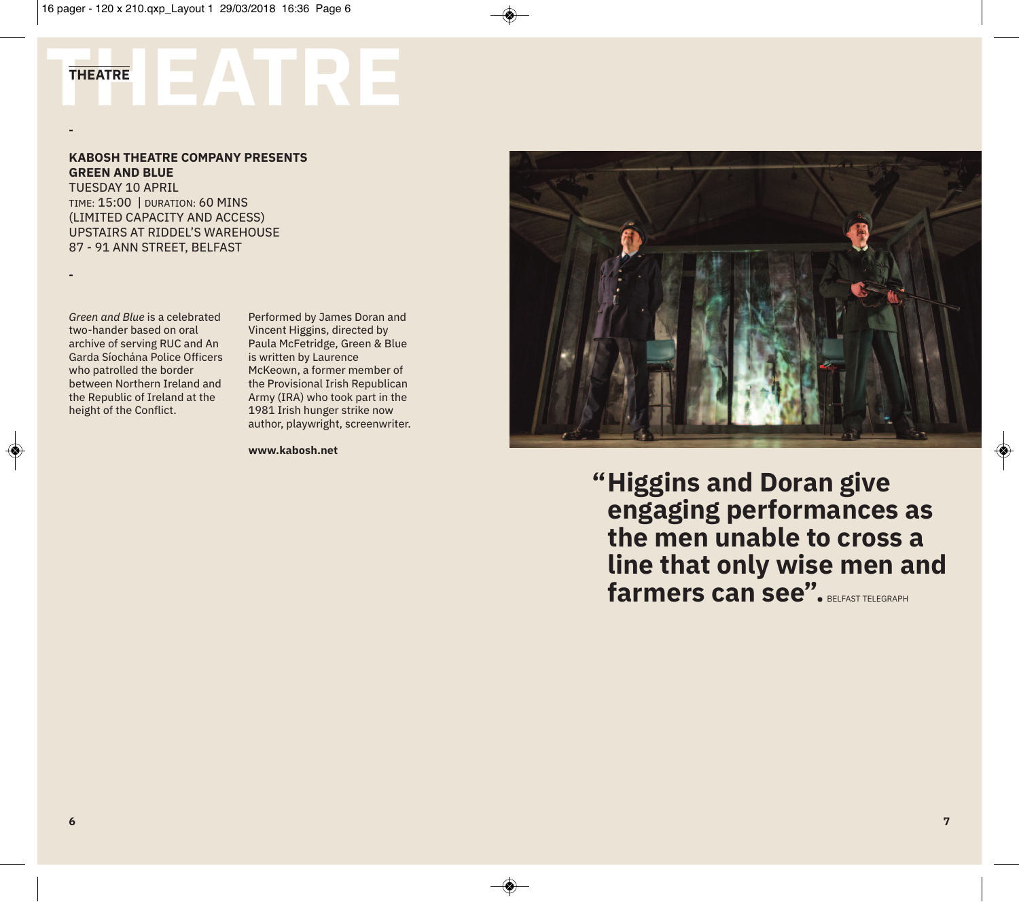### **THEATRE THEATRE**

#### **KABOSH THEATRE COMPANY PRESENTS GREEN AND BLUE**

TUESDAY 10 APRIL TIME: 15:00 | DURATION: 60 MINS (LIMITED CAPACITY AND ACCESS) UPSTAIRS AT RIDDEL'S WAREHOUSE 87 - 91 ANN STREET, BELFAST

**-**

**-**

◈

*Green and Blue* is a celebrated two-hander based on oral archive of serving RUC and An Garda Síochána Police Officers who patrolled the border between Northern Ireland and the Republic of Ireland at the height of the Conflict.

Performed by James Doran and Vincent Higgins, directed by Paula McFetridge, Green & Blue is written by Laurence McKeown, a former member of the Provisional Irish Republican Army (IRA) who took part in the 1981 Irish hunger strike now author, playwright, screenwriter.

**www.kabosh.net**



**Higgins and Doran give " engaging performances as the men unable to cross a line that only wise men and farmers can see".** BELFAST TELEGRAPH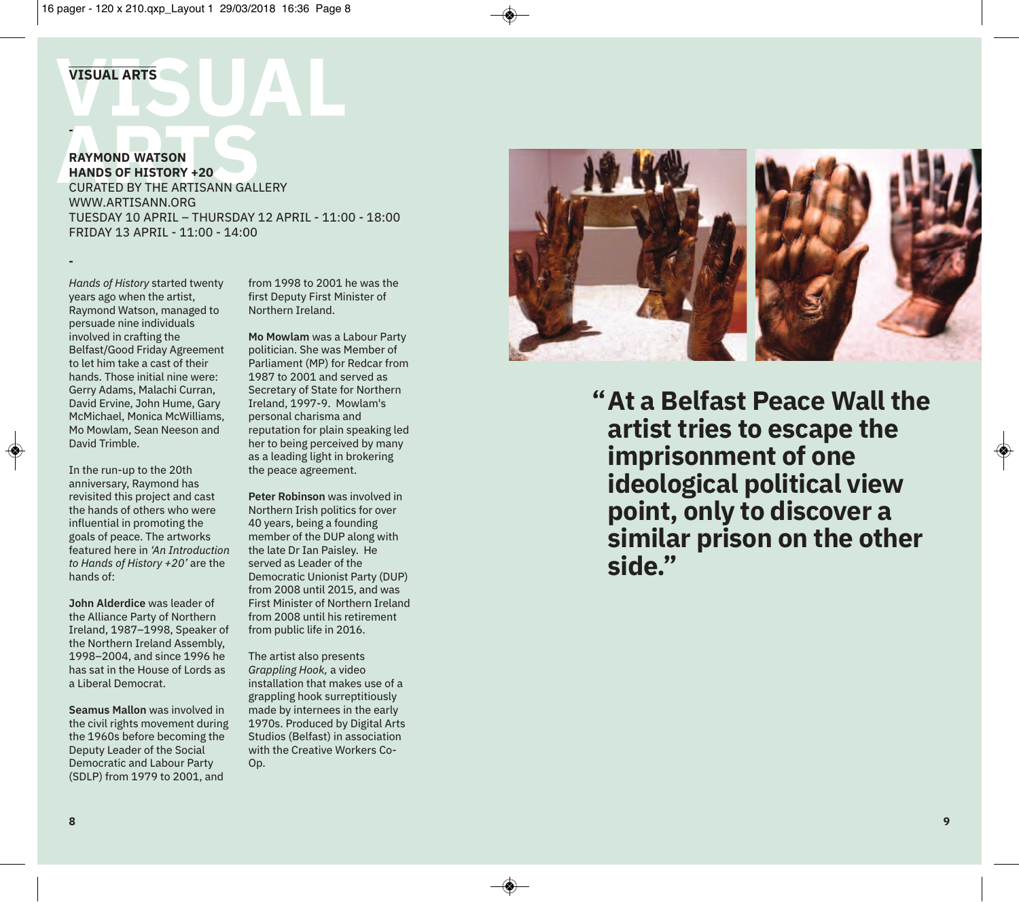## VISUAL ARTS **VISUAL ARTS**

**-**

**-**

**RAYMOND WATSON<br>
HANDS OF HISTORY +20<br>
CURATED BY THE ARTISANN GALLERY RAYMOND WATSON HANDS OF HISTORY +20** WWW.ARTISANN.ORG TUESDAY 10 APRIL – THURSDAY 12 APRIL - 11:00 - 18:00 FRIDAY 13 APRIL - 11:00 - 14:00

*Hands of History* started twenty years ago when the artist, Raymond Watson, managed to persuade nine individuals involved in crafting the Belfast/Good Friday Agreement to let him take a cast of their hands. Those initial nine were: Gerry Adams, Malachi Curran, David Ervine, John Hume, Gary McMichael, Monica McWilliams, Mo Mowlam, Sean Neeson and David Trimble.

In the run-up to the 20th anniversary, Raymond has revisited this project and cast the hands of others who were influential in promoting the goals of peace. The artworks featured here in *'An Introduction to Hands of History +20'* are the hands of:

**John Alderdice** was leader of the Alliance Party of Northern Ireland, 1987–1998, Speaker of the Northern Ireland Assembly, 1998–2004, and since 1996 he has sat in the House of Lords as a Liberal Democrat.

**Seamus Mallon** was involved in the civil rights movement during the 1960s before becoming the Deputy Leader of the Social Democratic and Labour Party (SDLP) from 1979 to 2001, and

from 1998 to 2001 he was the first Deputy First Minister of Northern Ireland.

**Mo Mowlam** was a Labour Party politician. She was Member of Parliament (MP) for Redcar from 1987 to 2001 and served as Secretary of State for Northern Ireland, 1997-9. Mowlam's personal charisma and reputation for plain speaking led her to being perceived by many as a leading light in brokering the peace agreement.

**Peter Robinson** was involved in Northern Irish politics for over 40 years, being a founding member of the DUP along with the late Dr Ian Paisley. He served as Leader of the Democratic Unionist Party (DUP) from 2008 until 2015, and was First Minister of Northern Ireland from 2008 until his retirement from public life in 2016.

The artist also presents *Grappling Hook,* a video installation that makes use of a grappling hook surreptitiously made by internees in the early 1970s. Produced by Digital Arts Studios (Belfast) in association with the Creative Workers Co-Op.



**At a Belfast Peace Wall the " artist tries to escape the imprisonment of one ideological political view point, only to discover a similar prison on the other side."**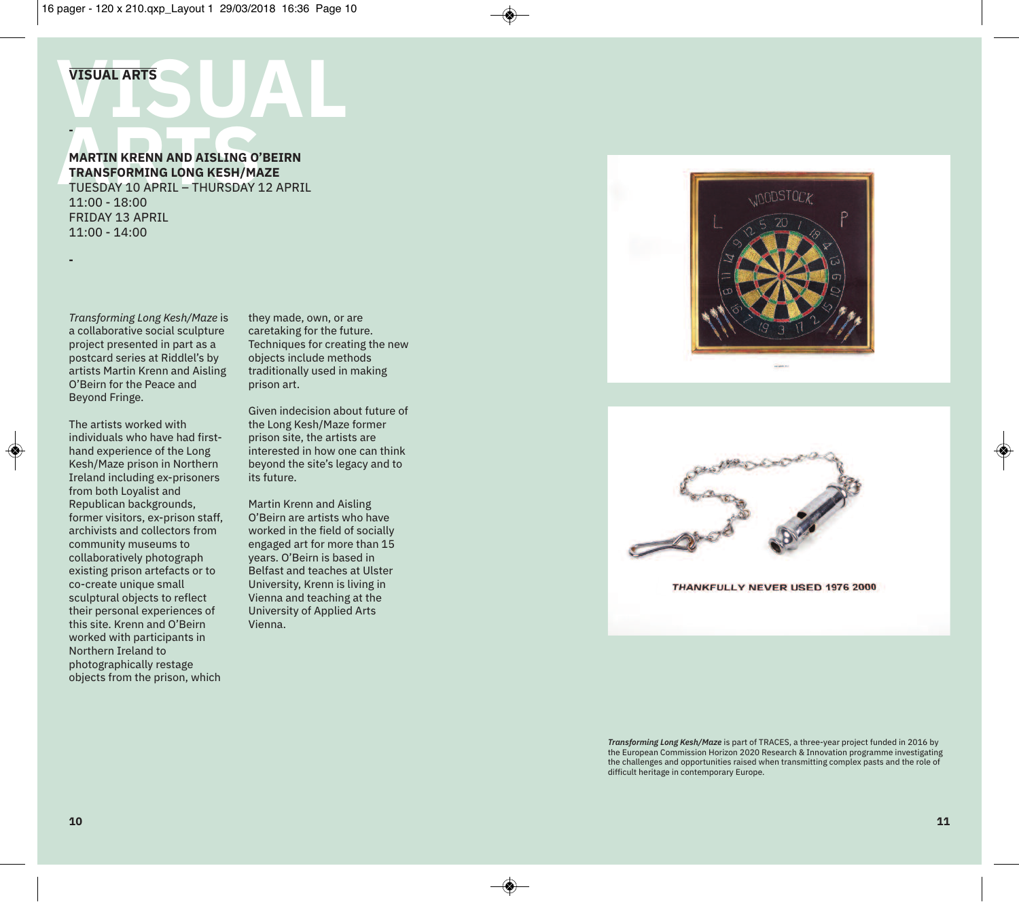### VISUAL ARTS **VISUAL ARTS -**

**MARTIN KRENN AND AISLING O'<br>TRANSFORMING LONG KESH/MA<br>TUESDAY 10 APRIL - THURSDAY 1 MARTIN KRENN AND AISLING O'BEIRN TRANSFORMING LONG KESH/MAZE** TUESDAY 10 APRIL – THURSDAY 12 APRIL

11:00 - 18:00 FRIDAY 13 APRIL 11:00 - 14:00

*Transforming Long Kesh/Maze* is a collaborative social sculpture project presented in part as a postcard series at Riddlel's by artists Martin Krenn and Aisling O'Beirn for the Peace and Beyond Fringe.

**-**

◈

The artists worked with individuals who have had firsthand experience of the Long Kesh/Maze prison in Northern Ireland including ex-prisoners from both Loyalist and Republican backgrounds, former visitors, ex-prison staff, archivists and collectors from community museums to collaboratively photograph existing prison artefacts or to co-create unique small sculptural objects to reflect their personal experiences of this site. Krenn and O'Beirn worked with participants in Northern Ireland to photographically restage objects from the prison, which

they made, own, or are caretaking for the future. Techniques for creating the new objects include methods traditionally used in making prison art.

Given indecision about future of the Long Kesh/Maze former prison site, the artists are interested in how one can think beyond the site's legacy and to its future.

Martin Krenn and Aisling O'Beirn are artists who have worked in the field of socially engaged art for more than 15 years. O'Beirn is based in Belfast and teaches at Ulster University, Krenn is living in Vienna and teaching at the University of Applied Arts Vienna.





**THANKFULLY NEVER USED 1976 2000** 

*Transforming Long Kesh/Maze* is part of TRACES, a three-year project funded in 2016 by the European Commission Horizon 2020 Research & Innovation programme investigating the challenges and opportunities raised when transmitting complex pasts and the role of difficult heritage in contemporary Europe.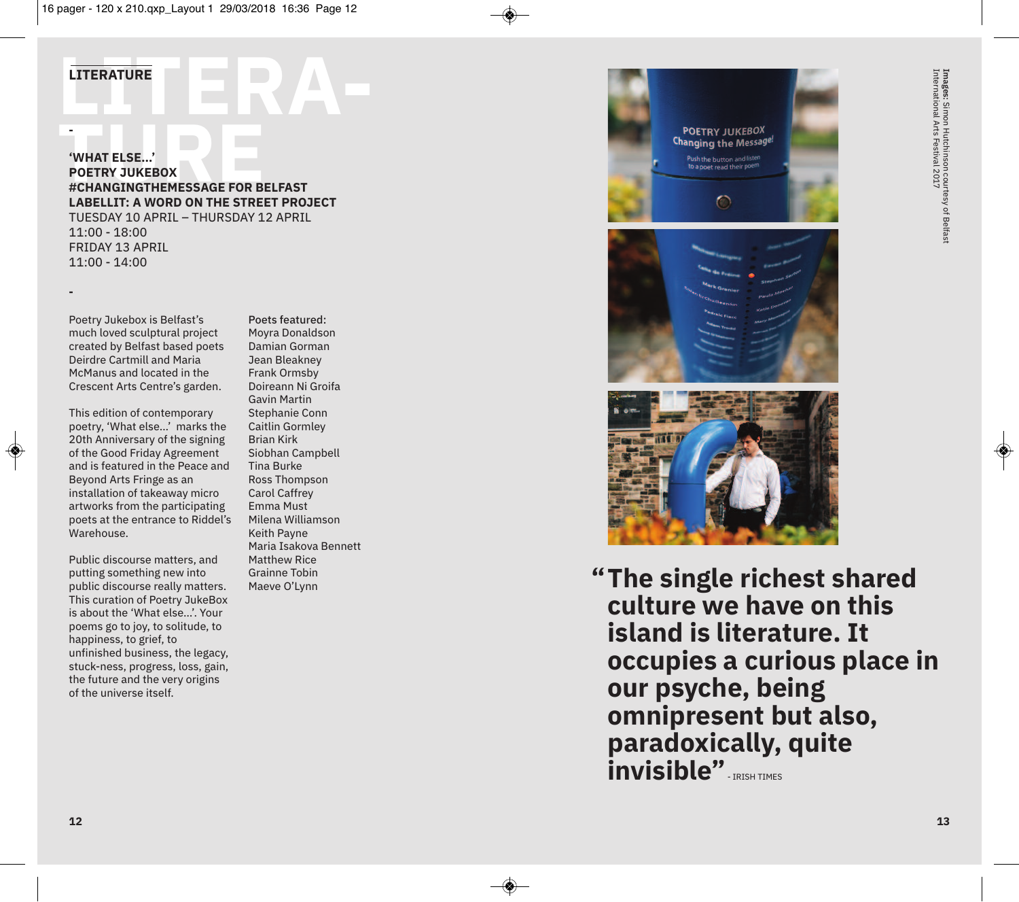## **LITERATURE LITERATURE**

**-**

**-**

◈

#### **TUREE 1999**<br> **TURE FOR STATE ASSESS**<br>
#CHANGINGTHEMESSAGE FOR BELFAST **'WHAT ELSE…' POETRY JUKEBOX LABELLIT: A WORD ON THE STREET PROJECT** TUESDAY 10 APRIL – THURSDAY 12 APRIL 11:00 - 18:00 FRIDAY 13 APRIL

11:00 - 14:00

Poetry Jukebox is Belfast's much loved sculptural project created by Belfast based poets Deirdre Cartmill and Maria McManus and located in the Crescent Arts Centre's garden.

This edition of contemporary poetry, 'What else…' marks the 20th Anniversary of the signing of the Good Friday Agreement and is featured in the Peace and Beyond Arts Fringe as an installation of takeaway micro artworks from the participating poets at the entrance to Riddel's Warehouse.

Public discourse matters, and putting something new into public discourse really matters. This curation of Poetry JukeBox is about the 'What else…'. Your poems go to joy, to solitude, to happiness, to grief, to unfinished business, the legacy, stuck-ness, progress, loss, gain, the future and the very origins of the universe itself.

Poets featured: Moyra Donaldson Damian Gorman Jean Bleakney Frank Ormsby Doireann Ni Groifa Gavin Martin Stephanie Conn Caitlin Gormley Brian Kirk Siobhan Campbell Tina Burke Ross Thompson Carol Caffrey Emma Must Milena Williamson Keith Payne Maria Isakova Bennett Matthew Rice Grainne Tobin Maeve O'Lynn **"**



**The single richest shared culture we have on this island is literature. It occupies a curious place in our psyche, being omnipresent but also, paradoxically, quite invisible"**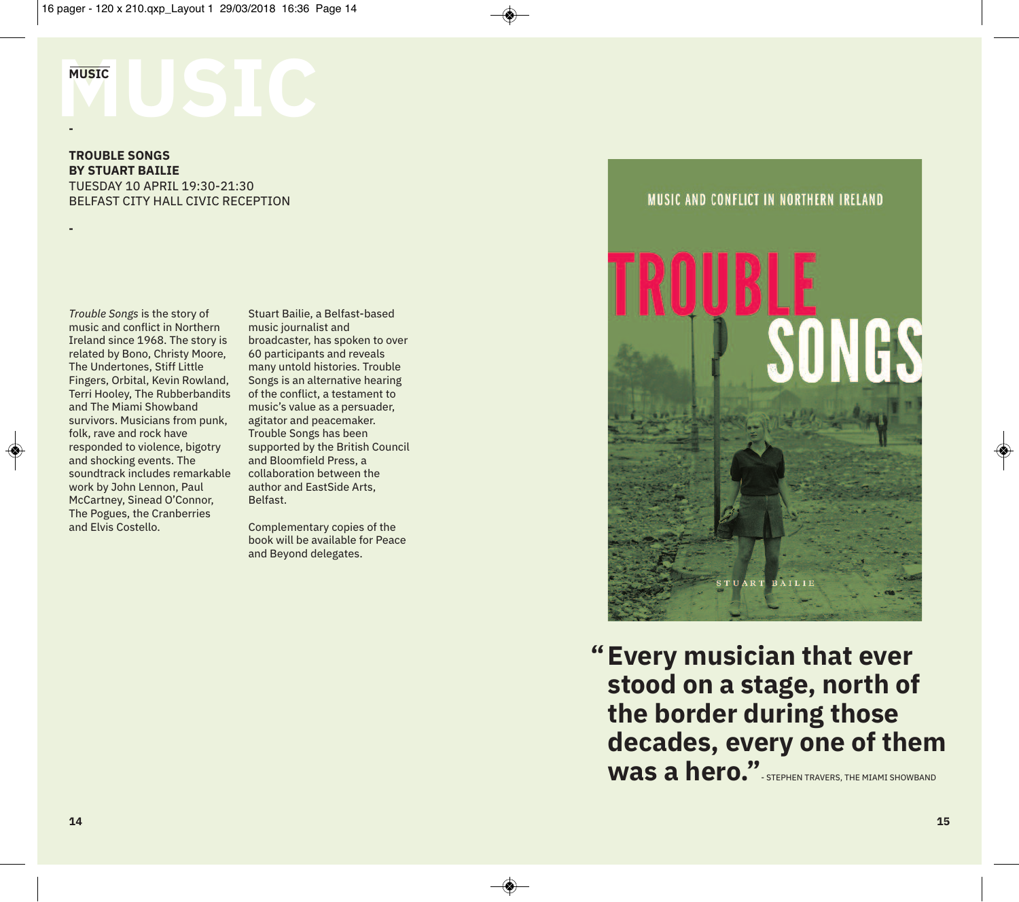# **MUSIC STIC**

**-**

**-**

◈

**TROUBLE SONGS BY STUART BAILIE** TUESDAY 10 APRIL 19:30-21:30 BELFAST CITY HALL CIVIC RECEPTION

*Trouble Songs* is the story of music and conflict in Northern Ireland since 1968. The story is related by Bono, Christy Moore, The Undertones, Stiff Little Fingers, Orbital, Kevin Rowland, Terri Hooley, The Rubberbandits and The Miami Showband survivors. Musicians from punk, folk, rave and rock have responded to violence, bigotry and shocking events. The soundtrack includes remarkable work by John Lennon, Paul McCartney, Sinead O'Connor, The Pogues, the Cranberries and Elvis Costello.

Stuart Bailie, a Belfast-based music journalist and broadcaster, has spoken to over 60 participants and reveals many untold histories. Trouble Songs is an alternative hearing of the conflict, a testament to music's value as a persuader, agitator and peacemaker. Trouble Songs has been supported by the British Council and Bloomfield Press, a collaboration between the author and EastSide Arts, Belfast.

Complementary copies of the book will be available for Peace and Beyond delegates.

#### MUSIC AND CONFLICT IN NORTHERN IRELAND



**Every musician that ever " stood on a stage, north of the border during those decades, every one of them** Was a hero.". STEPHEN TRAVERS, THE MIAMI SHOWBAND